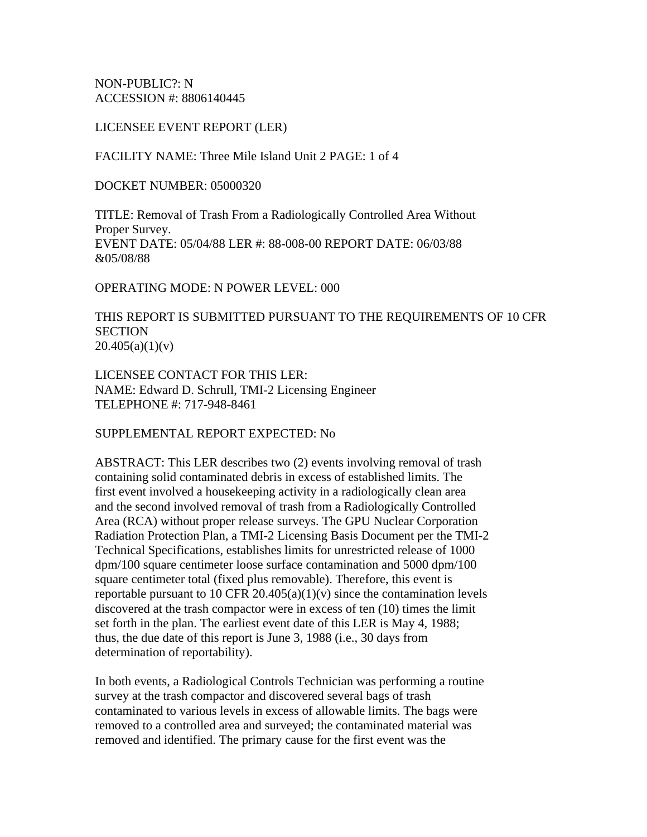NON-PUBLIC?: N ACCESSION #: 8806140445

LICENSEE EVENT REPORT (LER)

FACILITY NAME: Three Mile Island Unit 2 PAGE: 1 of 4

DOCKET NUMBER: 05000320

TITLE: Removal of Trash From a Radiologically Controlled Area Without Proper Survey. EVENT DATE: 05/04/88 LER #: 88-008-00 REPORT DATE: 06/03/88 &05/08/88

OPERATING MODE: N POWER LEVEL: 000

THIS REPORT IS SUBMITTED PURSUANT TO THE REQUIREMENTS OF 10 CFR **SECTION**  $20.405(a)(1)(v)$ 

LICENSEE CONTACT FOR THIS LER: NAME: Edward D. Schrull, TMI-2 Licensing Engineer TELEPHONE #: 717-948-8461

SUPPLEMENTAL REPORT EXPECTED: No

ABSTRACT: This LER describes two (2) events involving removal of trash containing solid contaminated debris in excess of established limits. The first event involved a housekeeping activity in a radiologically clean area and the second involved removal of trash from a Radiologically Controlled Area (RCA) without proper release surveys. The GPU Nuclear Corporation Radiation Protection Plan, a TMI-2 Licensing Basis Document per the TMI-2 Technical Specifications, establishes limits for unrestricted release of 1000 dpm/100 square centimeter loose surface contamination and 5000 dpm/100 square centimeter total (fixed plus removable). Therefore, this event is reportable pursuant to 10 CFR 20.405(a)(1)(v) since the contamination levels discovered at the trash compactor were in excess of ten (10) times the limit set forth in the plan. The earliest event date of this LER is May 4, 1988; thus, the due date of this report is June 3, 1988 (i.e., 30 days from determination of reportability).

In both events, a Radiological Controls Technician was performing a routine survey at the trash compactor and discovered several bags of trash contaminated to various levels in excess of allowable limits. The bags were removed to a controlled area and surveyed; the contaminated material was removed and identified. The primary cause for the first event was the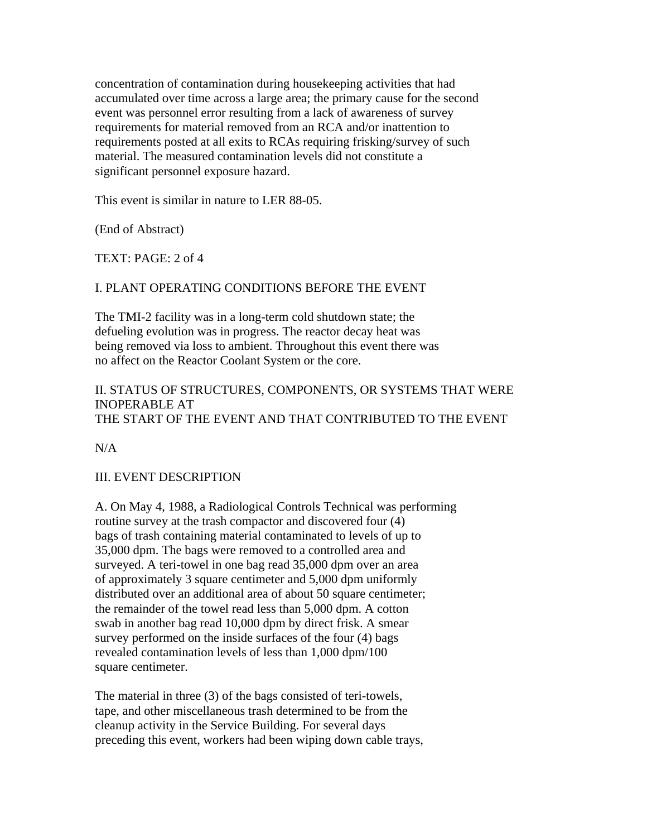concentration of contamination during housekeeping activities that had accumulated over time across a large area; the primary cause for the second event was personnel error resulting from a lack of awareness of survey requirements for material removed from an RCA and/or inattention to requirements posted at all exits to RCAs requiring frisking/survey of such material. The measured contamination levels did not constitute a significant personnel exposure hazard.

This event is similar in nature to LER 88-05.

(End of Abstract)

TEXT: PAGE: 2 of 4

#### I. PLANT OPERATING CONDITIONS BEFORE THE EVENT

The TMI-2 facility was in a long-term cold shutdown state; the defueling evolution was in progress. The reactor decay heat was being removed via loss to ambient. Throughout this event there was no affect on the Reactor Coolant System or the core.

#### II. STATUS OF STRUCTURES, COMPONENTS, OR SYSTEMS THAT WERE INOPERABLE AT THE START OF THE EVENT AND THAT CONTRIBUTED TO THE EVENT

N/A

#### III. EVENT DESCRIPTION

A. On May 4, 1988, a Radiological Controls Technical was performing routine survey at the trash compactor and discovered four (4) bags of trash containing material contaminated to levels of up to 35,000 dpm. The bags were removed to a controlled area and surveyed. A teri-towel in one bag read 35,000 dpm over an area of approximately 3 square centimeter and 5,000 dpm uniformly distributed over an additional area of about 50 square centimeter; the remainder of the towel read less than 5,000 dpm. A cotton swab in another bag read 10,000 dpm by direct frisk. A smear survey performed on the inside surfaces of the four (4) bags revealed contamination levels of less than 1,000 dpm/100 square centimeter.

The material in three (3) of the bags consisted of teri-towels, tape, and other miscellaneous trash determined to be from the cleanup activity in the Service Building. For several days preceding this event, workers had been wiping down cable trays,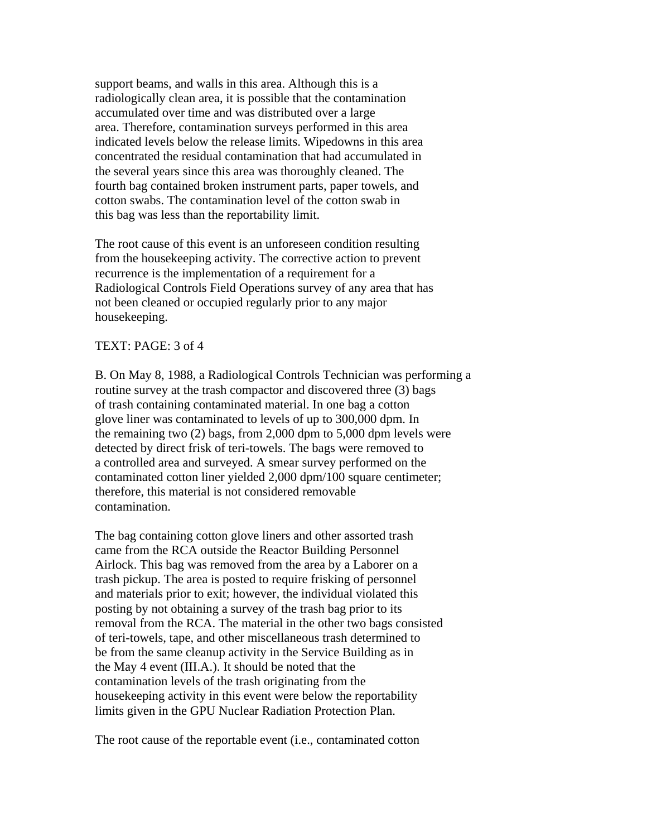support beams, and walls in this area. Although this is a radiologically clean area, it is possible that the contamination accumulated over time and was distributed over a large area. Therefore, contamination surveys performed in this area indicated levels below the release limits. Wipedowns in this area concentrated the residual contamination that had accumulated in the several years since this area was thoroughly cleaned. The fourth bag contained broken instrument parts, paper towels, and cotton swabs. The contamination level of the cotton swab in this bag was less than the reportability limit.

The root cause of this event is an unforeseen condition resulting from the housekeeping activity. The corrective action to prevent recurrence is the implementation of a requirement for a Radiological Controls Field Operations survey of any area that has not been cleaned or occupied regularly prior to any major housekeeping.

#### TEXT: PAGE: 3 of 4

B. On May 8, 1988, a Radiological Controls Technician was performing a routine survey at the trash compactor and discovered three (3) bags of trash containing contaminated material. In one bag a cotton glove liner was contaminated to levels of up to 300,000 dpm. In the remaining two (2) bags, from 2,000 dpm to 5,000 dpm levels were detected by direct frisk of teri-towels. The bags were removed to a controlled area and surveyed. A smear survey performed on the contaminated cotton liner yielded 2,000 dpm/100 square centimeter; therefore, this material is not considered removable contamination.

The bag containing cotton glove liners and other assorted trash came from the RCA outside the Reactor Building Personnel Airlock. This bag was removed from the area by a Laborer on a trash pickup. The area is posted to require frisking of personnel and materials prior to exit; however, the individual violated this posting by not obtaining a survey of the trash bag prior to its removal from the RCA. The material in the other two bags consisted of teri-towels, tape, and other miscellaneous trash determined to be from the same cleanup activity in the Service Building as in the May 4 event (III.A.). It should be noted that the contamination levels of the trash originating from the housekeeping activity in this event were below the reportability limits given in the GPU Nuclear Radiation Protection Plan.

The root cause of the reportable event (i.e., contaminated cotton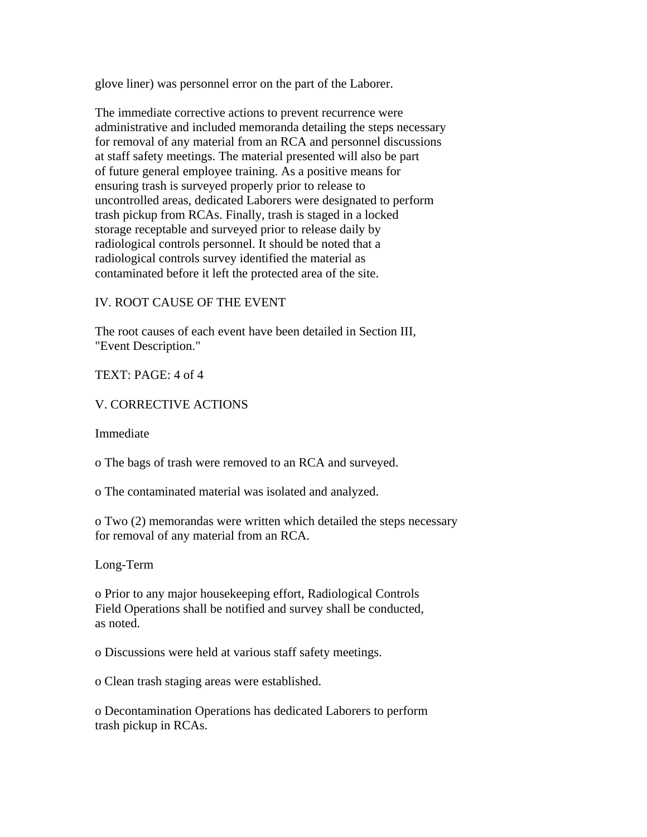glove liner) was personnel error on the part of the Laborer.

The immediate corrective actions to prevent recurrence were administrative and included memoranda detailing the steps necessary for removal of any material from an RCA and personnel discussions at staff safety meetings. The material presented will also be part of future general employee training. As a positive means for ensuring trash is surveyed properly prior to release to uncontrolled areas, dedicated Laborers were designated to perform trash pickup from RCAs. Finally, trash is staged in a locked storage receptable and surveyed prior to release daily by radiological controls personnel. It should be noted that a radiological controls survey identified the material as contaminated before it left the protected area of the site.

## IV. ROOT CAUSE OF THE EVENT

The root causes of each event have been detailed in Section III, "Event Description."

## TEXT: PAGE: 4 of 4

## V. CORRECTIVE ACTIONS

Immediate

o The bags of trash were removed to an RCA and surveyed.

o The contaminated material was isolated and analyzed.

o Two (2) memorandas were written which detailed the steps necessary for removal of any material from an RCA.

Long-Term

o Prior to any major housekeeping effort, Radiological Controls Field Operations shall be notified and survey shall be conducted, as noted.

o Discussions were held at various staff safety meetings.

o Clean trash staging areas were established.

o Decontamination Operations has dedicated Laborers to perform trash pickup in RCAs.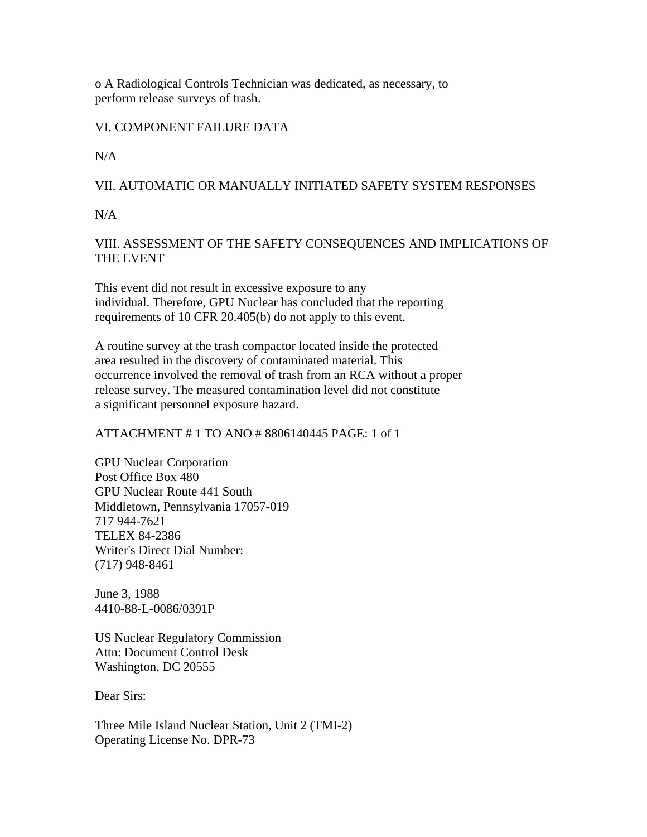o A Radiological Controls Technician was dedicated, as necessary, to perform release surveys of trash.

## VI. COMPONENT FAILURE DATA

 $N/A$ 

## VII. AUTOMATIC OR MANUALLY INITIATED SAFETY SYSTEM RESPONSES

N/A

# VIII. ASSESSMENT OF THE SAFETY CONSEQUENCES AND IMPLICATIONS OF THE EVENT

This event did not result in excessive exposure to any individual. Therefore, GPU Nuclear has concluded that the reporting requirements of 10 CFR 20.405(b) do not apply to this event.

A routine survey at the trash compactor located inside the protected area resulted in the discovery of contaminated material. This occurrence involved the removal of trash from an RCA without a proper release survey. The measured contamination level did not constitute a significant personnel exposure hazard.

#### ATTACHMENT # 1 TO ANO # 8806140445 PAGE: 1 of 1

GPU Nuclear Corporation Post Office Box 480 GPU Nuclear Route 441 South Middletown, Pennsylvania 17057-019 717 944-7621 TELEX 84-2386 Writer's Direct Dial Number: (717) 948-8461

June 3, 1988 4410-88-L-0086/0391P

US Nuclear Regulatory Commission Attn: Document Control Desk Washington, DC 20555

Dear Sirs:

Three Mile Island Nuclear Station, Unit 2 (TMI-2) Operating License No. DPR-73